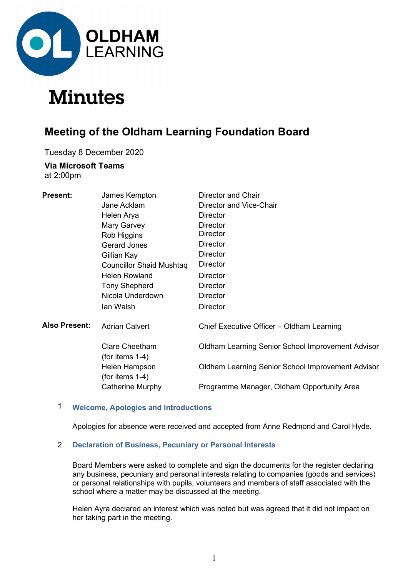

# **Minutes**

# Meeting of the Oldham Learning Foundation Board

Tuesday 8 December 2020

# Via Microsoft Teams

at 2:00pm

| <b>Present:</b>      | James Kempton                               | <b>Director and Chair</b>                                |
|----------------------|---------------------------------------------|----------------------------------------------------------|
|                      | Jane Acklam                                 | Director and Vice-Chair                                  |
|                      | Helen Arya                                  | Director                                                 |
|                      | Mary Garvey                                 | Director                                                 |
|                      | Rob Higgins                                 | Director                                                 |
|                      | <b>Gerard Jones</b>                         | <b>Director</b>                                          |
|                      | Gillian Kay                                 | <b>Director</b>                                          |
|                      | <b>Councillor Shaid Mushtag</b>             | Director                                                 |
|                      | <b>Helen Rowland</b>                        | Director                                                 |
|                      | <b>Tony Shepherd</b>                        | <b>Director</b>                                          |
|                      | Nicola Underdown                            | Director                                                 |
|                      | lan Walsh                                   | <b>Director</b>                                          |
| <b>Also Present:</b> | <b>Adrian Calvert</b>                       | Chief Executive Officer - Oldham Learning                |
|                      | <b>Clare Cheetham</b><br>(for items $1-4$ ) | Oldham Learning Senior School Improvement Advisor        |
|                      | Helen Hampson<br>(for items $1-4$ )         | <b>Oldham Learning Senior School Improvement Advisor</b> |
|                      | Catherine Murphy                            | Programme Manager, Oldham Opportunity Area               |

# 1 Welcome, Apologies and Introductions

Apologies for absence were received and accepted from Anne Redmond and Carol Hyde.

# 2 Declaration of Business, Pecuniary or Personal Interests

 Board Members were asked to complete and sign the documents for the register declaring any business, pecuniary and personal interests relating to companies (goods and services) or personal relationships with pupils, volunteers and members of staff associated with the school where a matter may be discussed at the meeting.

Helen Ayra declared an interest which was noted but was agreed that it did not impact on her taking part in the meeting.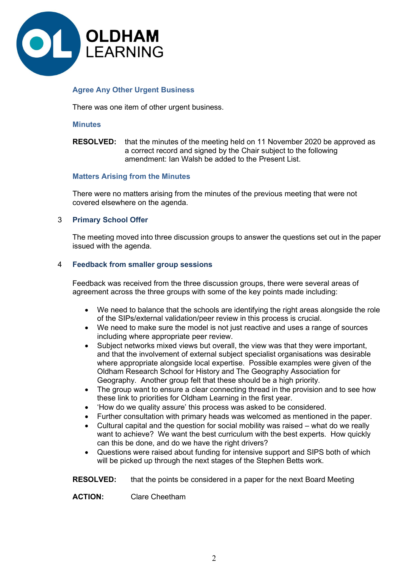

# Agree Any Other Urgent Business

There was one item of other urgent business.

#### **Minutes**

RESOLVED: that the minutes of the meeting held on 11 November 2020 be approved as a correct record and signed by the Chair subject to the following amendment: Ian Walsh be added to the Present List.

# Matters Arising from the Minutes

 There were no matters arising from the minutes of the previous meeting that were not covered elsewhere on the agenda.

# 3 Primary School Offer

 The meeting moved into three discussion groups to answer the questions set out in the paper issued with the agenda.

#### 4 Feedback from smaller group sessions

 Feedback was received from the three discussion groups, there were several areas of agreement across the three groups with some of the key points made including:

- We need to balance that the schools are identifying the right areas alongside the role of the SIPs/external validation/peer review in this process is crucial.
- We need to make sure the model is not just reactive and uses a range of sources including where appropriate peer review.
- Subject networks mixed views but overall, the view was that they were important, and that the involvement of external subject specialist organisations was desirable where appropriate alongside local expertise. Possible examples were given of the Oldham Research School for History and The Geography Association for Geography. Another group felt that these should be a high priority.
- The group want to ensure a clear connecting thread in the provision and to see how these link to priorities for Oldham Learning in the first year.
- 'How do we quality assure' this process was asked to be considered.
- Further consultation with primary heads was welcomed as mentioned in the paper.
- Cultural capital and the question for social mobility was raised what do we really want to achieve? We want the best curriculum with the best experts. How quickly can this be done, and do we have the right drivers?
- Questions were raised about funding for intensive support and SIPS both of which will be picked up through the next stages of the Stephen Betts work.

**RESOLVED:** that the points be considered in a paper for the next Board Meeting

ACTION: Clare Cheetham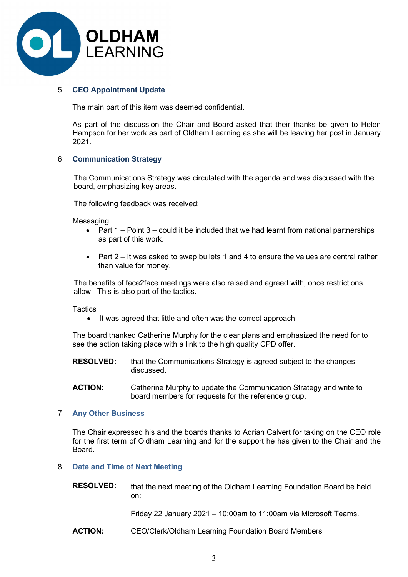

# 5 CEO Appointment Update

The main part of this item was deemed confidential.

As part of the discussion the Chair and Board asked that their thanks be given to Helen Hampson for her work as part of Oldham Learning as she will be leaving her post in January 2021.

# 6 Communication Strategy

 The Communications Strategy was circulated with the agenda and was discussed with the board, emphasizing key areas.

The following feedback was received:

Messaging

- Part  $1$  Point  $3$  could it be included that we had learnt from national partnerships as part of this work.
- Part  $2 -$  It was asked to swap bullets 1 and 4 to ensure the values are central rather than value for money.

The benefits of face2face meetings were also raised and agreed with, once restrictions allow. This is also part of the tactics.

**Tactics** 

• It was agreed that little and often was the correct approach

The board thanked Catherine Murphy for the clear plans and emphasized the need for to see the action taking place with a link to the high quality CPD offer.

RESOLVED: that the Communications Strategy is agreed subject to the changes discussed.

ACTION: Catherine Murphy to update the Communication Strategy and write to board members for requests for the reference group.

# 7 Any Other Business

 The Chair expressed his and the boards thanks to Adrian Calvert for taking on the CEO role for the first term of Oldham Learning and for the support he has given to the Chair and the Board.

# 8 Date and Time of Next Meeting

RESOLVED: that the next meeting of the Oldham Learning Foundation Board be held on:

Friday 22 January 2021 – 10:00am to 11:00am via Microsoft Teams.

ACTION: CEO/Clerk/Oldham Learning Foundation Board Members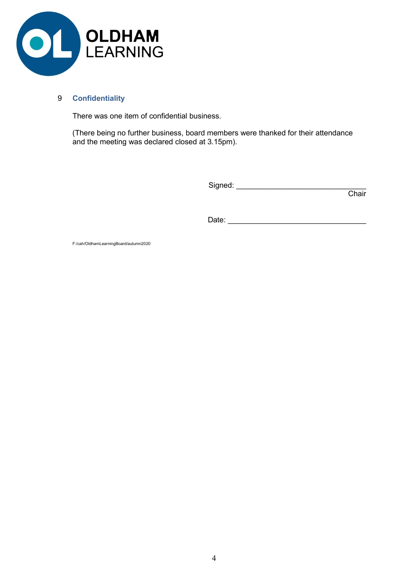

# 9 Confidentiality

There was one item of confidential business.

 (There being no further business, board members were thanked for their attendance and the meeting was declared closed at 3.15pm).

Signed: \_\_\_\_\_\_\_\_\_\_\_\_\_\_\_\_\_\_\_\_\_\_\_\_\_\_\_\_\_\_\_

in the contract of the contract of the contract of the contract of the contract of the contract of the contract of the contract of the contract of the contract of the contract of the contract of the contract of the contrac

Date: \_\_\_\_\_\_\_\_\_\_\_\_\_\_\_\_\_\_\_\_\_\_\_\_\_\_\_\_\_\_\_\_\_

F:/cah/OldhamLearningBoard/autumn2020